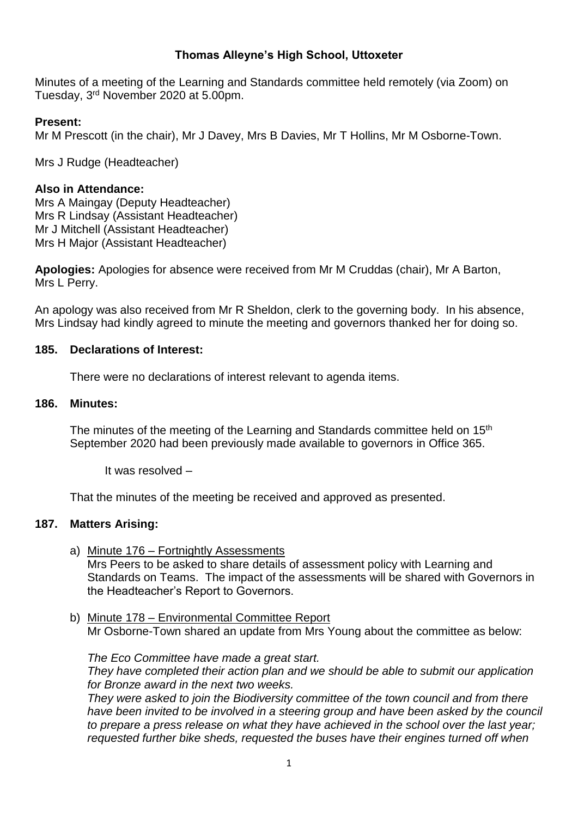# **Thomas Alleyne's High School, Uttoxeter**

Minutes of a meeting of the Learning and Standards committee held remotely (via Zoom) on Tuesday, 3 rd November 2020 at 5.00pm.

## **Present:**

Mr M Prescott (in the chair), Mr J Davey, Mrs B Davies, Mr T Hollins, Mr M Osborne-Town.

Mrs J Rudge (Headteacher)

## **Also in Attendance:**

Mrs A Maingay (Deputy Headteacher) Mrs R Lindsay (Assistant Headteacher) Mr J Mitchell (Assistant Headteacher) Mrs H Major (Assistant Headteacher)

**Apologies:** Apologies for absence were received from Mr M Cruddas (chair), Mr A Barton, Mrs L Perry.

An apology was also received from Mr R Sheldon, clerk to the governing body. In his absence, Mrs Lindsay had kindly agreed to minute the meeting and governors thanked her for doing so.

# **185. Declarations of Interest:**

There were no declarations of interest relevant to agenda items.

## **186. Minutes:**

The minutes of the meeting of the Learning and Standards committee held on 15<sup>th</sup> September 2020 had been previously made available to governors in Office 365.

It was resolved –

That the minutes of the meeting be received and approved as presented.

#### **187. Matters Arising:**

- a) Minute 176 Fortnightly Assessments Mrs Peers to be asked to share details of assessment policy with Learning and Standards on Teams. The impact of the assessments will be shared with Governors in the Headteacher's Report to Governors.
- b) Minute 178 Environmental Committee Report Mr Osborne-Town shared an update from Mrs Young about the committee as below:

*The Eco Committee have made a great start. They have completed their action plan and we should be able to submit our application for Bronze award in the next two weeks.* 

*They were asked to join the Biodiversity committee of the town council and from there have been invited to be involved in a steering group and have been asked by the council to prepare a press release on what they have achieved in the school over the last year; requested further bike sheds, requested the buses have their engines turned off when*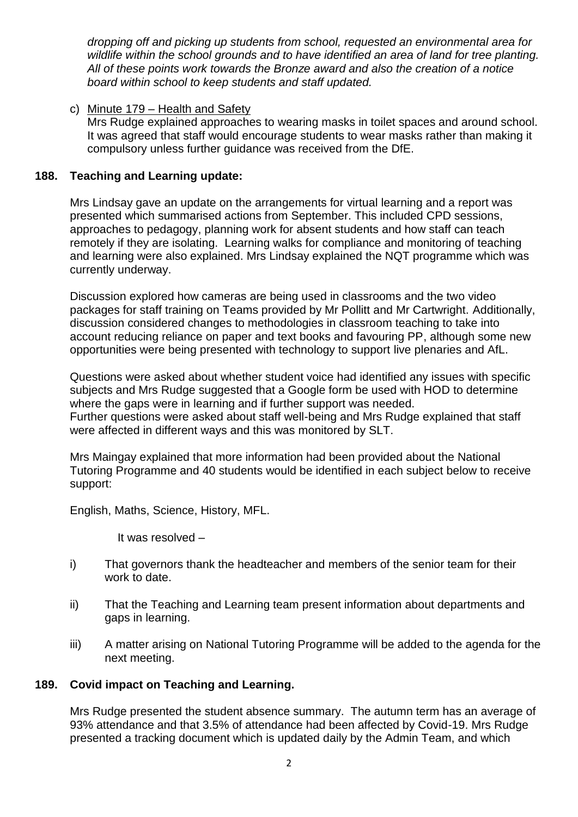*dropping off and picking up students from school, requested an environmental area for wildlife within the school grounds and to have identified an area of land for tree planting. All of these points work towards the Bronze award and also the creation of a notice board within school to keep students and staff updated.*

c) Minute 179 – Health and Safety

Mrs Rudge explained approaches to wearing masks in toilet spaces and around school. It was agreed that staff would encourage students to wear masks rather than making it compulsory unless further guidance was received from the DfE.

## **188. Teaching and Learning update:**

Mrs Lindsay gave an update on the arrangements for virtual learning and a report was presented which summarised actions from September. This included CPD sessions, approaches to pedagogy, planning work for absent students and how staff can teach remotely if they are isolating. Learning walks for compliance and monitoring of teaching and learning were also explained. Mrs Lindsay explained the NQT programme which was currently underway.

Discussion explored how cameras are being used in classrooms and the two video packages for staff training on Teams provided by Mr Pollitt and Mr Cartwright. Additionally, discussion considered changes to methodologies in classroom teaching to take into account reducing reliance on paper and text books and favouring PP, although some new opportunities were being presented with technology to support live plenaries and AfL.

Questions were asked about whether student voice had identified any issues with specific subjects and Mrs Rudge suggested that a Google form be used with HOD to determine where the gaps were in learning and if further support was needed. Further questions were asked about staff well-being and Mrs Rudge explained that staff were affected in different ways and this was monitored by SLT.

Mrs Maingay explained that more information had been provided about the National Tutoring Programme and 40 students would be identified in each subject below to receive support:

English, Maths, Science, History, MFL.

It was resolved –

- i) That governors thank the headteacher and members of the senior team for their work to date.
- ii) That the Teaching and Learning team present information about departments and gaps in learning.
- iii) A matter arising on National Tutoring Programme will be added to the agenda for the next meeting.

# **189. Covid impact on Teaching and Learning.**

Mrs Rudge presented the student absence summary. The autumn term has an average of 93% attendance and that 3.5% of attendance had been affected by Covid-19. Mrs Rudge presented a tracking document which is updated daily by the Admin Team, and which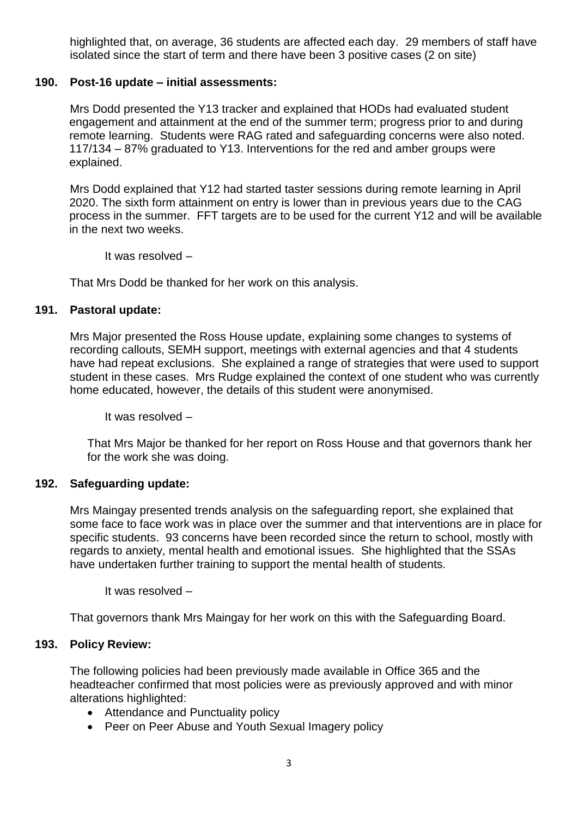highlighted that, on average, 36 students are affected each day. 29 members of staff have isolated since the start of term and there have been 3 positive cases (2 on site)

## **190. Post-16 update – initial assessments:**

Mrs Dodd presented the Y13 tracker and explained that HODs had evaluated student engagement and attainment at the end of the summer term; progress prior to and during remote learning. Students were RAG rated and safeguarding concerns were also noted. 117/134 – 87% graduated to Y13. Interventions for the red and amber groups were explained.

Mrs Dodd explained that Y12 had started taster sessions during remote learning in April 2020. The sixth form attainment on entry is lower than in previous years due to the CAG process in the summer. FFT targets are to be used for the current Y12 and will be available in the next two weeks.

It was resolved –

That Mrs Dodd be thanked for her work on this analysis.

#### **191. Pastoral update:**

Mrs Major presented the Ross House update, explaining some changes to systems of recording callouts, SEMH support, meetings with external agencies and that 4 students have had repeat exclusions. She explained a range of strategies that were used to support student in these cases. Mrs Rudge explained the context of one student who was currently home educated, however, the details of this student were anonymised.

It was resolved –

That Mrs Major be thanked for her report on Ross House and that governors thank her for the work she was doing.

#### **192. Safeguarding update:**

Mrs Maingay presented trends analysis on the safeguarding report, she explained that some face to face work was in place over the summer and that interventions are in place for specific students. 93 concerns have been recorded since the return to school, mostly with regards to anxiety, mental health and emotional issues. She highlighted that the SSAs have undertaken further training to support the mental health of students.

It was resolved –

That governors thank Mrs Maingay for her work on this with the Safeguarding Board.

#### **193. Policy Review:**

The following policies had been previously made available in Office 365 and the headteacher confirmed that most policies were as previously approved and with minor alterations highlighted:

- Attendance and Punctuality policy
- Peer on Peer Abuse and Youth Sexual Imagery policy